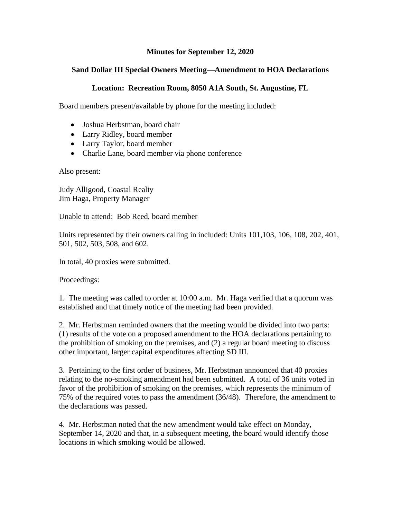## **Minutes for September 12, 2020**

## **Sand Dollar III Special Owners Meeting—Amendment to HOA Declarations**

## **Location: Recreation Room, 8050 A1A South, St. Augustine, FL**

Board members present/available by phone for the meeting included:

- Joshua Herbstman, board chair
- Larry Ridley, board member
- Larry Taylor, board member
- Charlie Lane, board member via phone conference

Also present:

Judy Alligood, Coastal Realty Jim Haga, Property Manager

Unable to attend: Bob Reed, board member

Units represented by their owners calling in included: Units 101,103, 106, 108, 202, 401, 501, 502, 503, 508, and 602.

In total, 40 proxies were submitted.

Proceedings:

1. The meeting was called to order at 10:00 a.m. Mr. Haga verified that a quorum was established and that timely notice of the meeting had been provided.

2. Mr. Herbstman reminded owners that the meeting would be divided into two parts: (1) results of the vote on a proposed amendment to the HOA declarations pertaining to the prohibition of smoking on the premises, and (2) a regular board meeting to discuss other important, larger capital expenditures affecting SD III.

3. Pertaining to the first order of business, Mr. Herbstman announced that 40 proxies relating to the no-smoking amendment had been submitted. A total of 36 units voted in favor of the prohibition of smoking on the premises, which represents the minimum of 75% of the required votes to pass the amendment (36/48). Therefore, the amendment to the declarations was passed.

4. Mr. Herbstman noted that the new amendment would take effect on Monday, September 14, 2020 and that, in a subsequent meeting, the board would identify those locations in which smoking would be allowed.